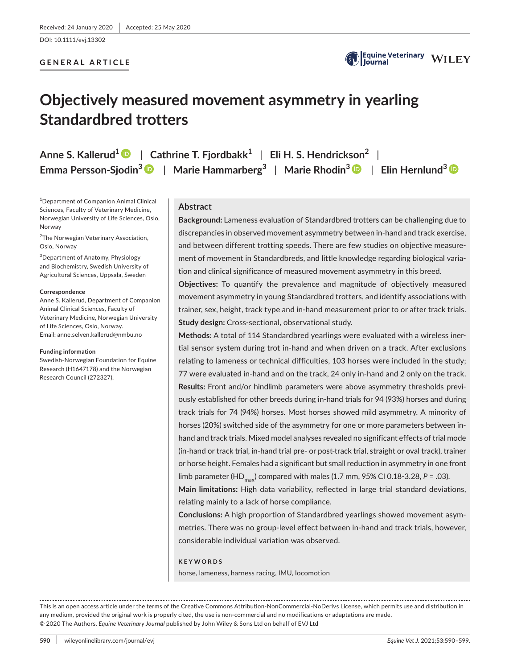DOI: 10.1111/evj.13302

# **GENERAL ARTICLE**



# **Objectively measured movement asymmetry in yearling Standardbred trotters**

**Anne S. Kallerud1** | **Cathrine T. Fjordbakk1** | **Eli H. S. Hendrickson2** | **Emma Persson-Sjodin3** | **Marie Hammarberg3** | **Marie Rhodin3** | **Elin Hernlund[3](https://orcid.org/0000-0002-5769-3958)**

1 Department of Companion Animal Clinical Sciences, Faculty of Veterinary Medicine, Norwegian University of Life Sciences, Oslo, Norway

<sup>2</sup>The Norwegian Veterinary Association, Oslo, Norway

3 Department of Anatomy, Physiology and Biochemistry, Swedish University of Agricultural Sciences, Uppsala, Sweden

#### **Correspondence**

Anne S. Kallerud, Department of Companion Animal Clinical Sciences, Faculty of Veterinary Medicine, Norwegian University of Life Sciences, Oslo, Norway. Email: [anne.selven.kallerud@nmbu.no](mailto:anne.selven.kallerud@nmbu.no)

#### **Funding information**

Swedish-Norwegian Foundation for Equine Research (H1647178) and the Norwegian Research Council (272327).

## **Abstract**

**Background:** Lameness evaluation of Standardbred trotters can be challenging due to discrepancies in observed movement asymmetry between in-hand and track exercise, and between different trotting speeds. There are few studies on objective measurement of movement in Standardbreds, and little knowledge regarding biological variation and clinical significance of measured movement asymmetry in this breed.

**Objectives:** To quantify the prevalence and magnitude of objectively measured movement asymmetry in young Standardbred trotters, and identify associations with trainer, sex, height, track type and in-hand measurement prior to or after track trials. **Study design:** Cross-sectional, observational study.

**Methods:** A total of 114 Standardbred yearlings were evaluated with a wireless inertial sensor system during trot in-hand and when driven on a track. After exclusions relating to lameness or technical difficulties, 103 horses were included in the study; 77 were evaluated in-hand and on the track, 24 only in-hand and 2 only on the track. **Results:** Front and/or hindlimb parameters were above asymmetry thresholds previously established for other breeds during in-hand trials for 94 (93%) horses and during track trials for 74 (94%) horses. Most horses showed mild asymmetry. A minority of horses (20%) switched side of the asymmetry for one or more parameters between inhand and track trials. Mixed model analyses revealed no significant effects of trial mode (in-hand or track trial, in-hand trial pre- or post-track trial, straight or oval track), trainer or horse height. Females had a significant but small reduction in asymmetry in one front limb parameter (HD<sub>max</sub>) compared with males (1.7 mm, 95% CI 0.18-3.28,  $P = .03$ ).

**Main limitations:** High data variability, reflected in large trial standard deviations, relating mainly to a lack of horse compliance.

**Conclusions:** A high proportion of Standardbred yearlings showed movement asymmetries. There was no group-level effect between in-hand and track trials, however, considerable individual variation was observed.

#### **KEYWORDS**

horse, lameness, harness racing, IMU, locomotion

This is an open access article under the terms of the [Creative Commons Attribution-NonCommercial-NoDerivs](http://creativecommons.org/licenses/by-nc-nd/4.0/) License, which permits use and distribution in any medium, provided the original work is properly cited, the use is non-commercial and no modifications or adaptations are made. © 2020 The Authors. *Equine Veterinary Journal* published by John Wiley & Sons Ltd on behalf of EVJ Ltd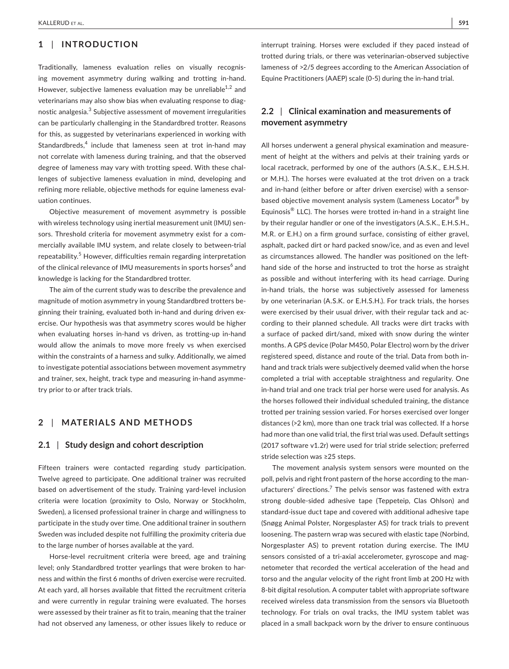# **1** | **INTRODUCTION**

Traditionally, lameness evaluation relies on visually recognising movement asymmetry during walking and trotting in-hand. However, subjective lameness evaluation may be unreliable<sup>1,2</sup> and veterinarians may also show bias when evaluating response to diagnostic analgesia. $^3$  Subjective assessment of movement irregularities can be particularly challenging in the Standardbred trotter. Reasons for this, as suggested by veterinarians experienced in working with Standardbreds,<sup>4</sup> include that lameness seen at trot in-hand may not correlate with lameness during training, and that the observed degree of lameness may vary with trotting speed. With these challenges of subjective lameness evaluation in mind, developing and refining more reliable, objective methods for equine lameness evaluation continues.

Objective measurement of movement asymmetry is possible with wireless technology using inertial measurement unit (IMU) sensors. Threshold criteria for movement asymmetry exist for a commercially available IMU system, and relate closely to between-trial repeatability.<sup>5</sup> However, difficulties remain regarding interpretation of the clinical relevance of IMU measurements in sports horses $^6$  and knowledge is lacking for the Standardbred trotter.

The aim of the current study was to describe the prevalence and magnitude of motion asymmetry in young Standardbred trotters beginning their training, evaluated both in-hand and during driven exercise. Our hypothesis was that asymmetry scores would be higher when evaluating horses in-hand vs driven, as trotting-up in-hand would allow the animals to move more freely vs when exercised within the constraints of a harness and sulky. Additionally, we aimed to investigate potential associations between movement asymmetry and trainer, sex, height, track type and measuring in-hand asymmetry prior to or after track trials.

# **2** | **MATERIALS AND METHODS**

## **2.1** | **Study design and cohort description**

Fifteen trainers were contacted regarding study participation. Twelve agreed to participate. One additional trainer was recruited based on advertisement of the study. Training yard-level inclusion criteria were location (proximity to Oslo, Norway or Stockholm, Sweden), a licensed professional trainer in charge and willingness to participate in the study over time. One additional trainer in southern Sweden was included despite not fulfilling the proximity criteria due to the large number of horses available at the yard.

Horse-level recruitment criteria were breed, age and training level; only Standardbred trotter yearlings that were broken to harness and within the first 6 months of driven exercise were recruited. At each yard, all horses available that fitted the recruitment criteria and were currently in regular training were evaluated. The horses were assessed by their trainer as fit to train, meaning that the trainer had not observed any lameness, or other issues likely to reduce or interrupt training. Horses were excluded if they paced instead of trotted during trials, or there was veterinarian-observed subjective lameness of >2/5 degrees according to the American Association of Equine Practitioners (AAEP) scale (0-5) during the in-hand trial.

# **2.2** | **Clinical examination and measurements of movement asymmetry**

All horses underwent a general physical examination and measurement of height at the withers and pelvis at their training yards or local racetrack, performed by one of the authors (A.S.K., E.H.S.H. or M.H.). The horses were evaluated at the trot driven on a track and in-hand (either before or after driven exercise) with a sensorbased objective movement analysis system (Lameness Locator® by Equinosis® LLC). The horses were trotted in-hand in a straight line by their regular handler or one of the investigators (A.S.K., E.H.S.H., M.R. or E.H.) on a firm ground surface, consisting of either gravel, asphalt, packed dirt or hard packed snow/ice, and as even and level as circumstances allowed. The handler was positioned on the lefthand side of the horse and instructed to trot the horse as straight as possible and without interfering with its head carriage. During in-hand trials, the horse was subjectively assessed for lameness by one veterinarian (A.S.K. or E.H.S.H.). For track trials, the horses were exercised by their usual driver, with their regular tack and according to their planned schedule. All tracks were dirt tracks with a surface of packed dirt/sand, mixed with snow during the winter months. A GPS device (Polar M450, Polar Electro) worn by the driver registered speed, distance and route of the trial. Data from both inhand and track trials were subjectively deemed valid when the horse completed a trial with acceptable straightness and regularity. One in-hand trial and one track trial per horse were used for analysis. As the horses followed their individual scheduled training, the distance trotted per training session varied. For horses exercised over longer distances (>2 km), more than one track trial was collected. If a horse had more than one valid trial, the first trial was used. Default settings (2017 software v1.2r) were used for trial stride selection; preferred stride selection was ≥25 steps.

The movement analysis system sensors were mounted on the poll, pelvis and right front pastern of the horse according to the manufacturers' directions.<sup>7</sup> The pelvis sensor was fastened with extra strong double-sided adhesive tape (Teppeteip, Clas Ohlson) and standard-issue duct tape and covered with additional adhesive tape (Snøgg Animal Polster, Norgesplaster AS) for track trials to prevent loosening. The pastern wrap was secured with elastic tape (Norbind, Norgesplaster AS) to prevent rotation during exercise. The IMU sensors consisted of a tri-axial accelerometer, gyroscope and magnetometer that recorded the vertical acceleration of the head and torso and the angular velocity of the right front limb at 200 Hz with 8-bit digital resolution. A computer tablet with appropriate software received wireless data transmission from the sensors via Bluetooth technology. For trials on oval tracks, the IMU system tablet was placed in a small backpack worn by the driver to ensure continuous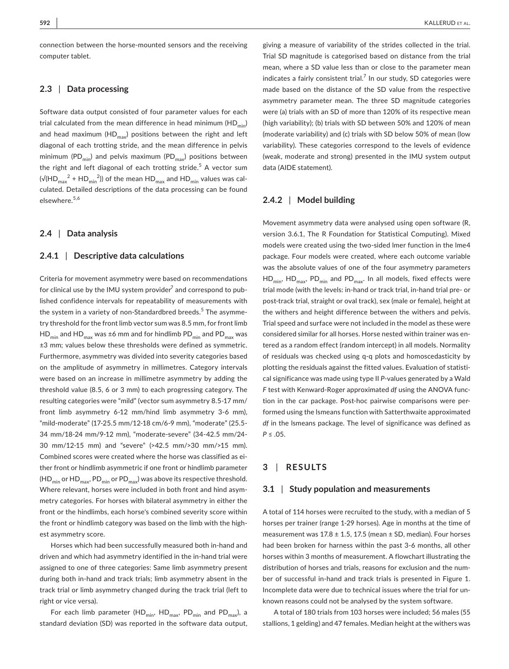connection between the horse-mounted sensors and the receiving computer tablet.

# **2.3** | **Data processing**

Software data output consisted of four parameter values for each trial calculated from the mean difference in head minimum ( $HD_{min}$ ) and head maximum (HD $_{\text{max}}$ ) positions between the right and left diagonal of each trotting stride, and the mean difference in pelvis minimum (PD<sub>min</sub>) and pelvis maximum (PD<sub>max</sub>) positions between the right and left diagonal of each trotting stride.<sup>5</sup> A vector sum (√(HD $_{\sf max}^{-2}$  + HD $_{\sf min}^{-2}$ )) of the mean HD $_{\sf max}$  and HD $_{\sf min}$  values was calculated. Detailed descriptions of the data processing can be found elsewhere.5,6

## **2.4** | **Data analysis**

#### **2.4.1** | **Descriptive data calculations**

Criteria for movement asymmetry were based on recommendations for clinical use by the IMU system provider $^7$  and correspond to published confidence intervals for repeatability of measurements with the system in a variety of non-Standardbred breeds.<sup>5</sup> The asymmetry threshold for the front limb vector sum was 8.5 mm, for front limb  $HD_{min}$  and  $HD_{max}$  was ±6 mm and for hindlimb  $PD_{min}$  and  $PD_{max}$  was ±3 mm; values below these thresholds were defined as symmetric. Furthermore, asymmetry was divided into severity categories based on the amplitude of asymmetry in millimetres. Category intervals were based on an increase in millimetre asymmetry by adding the threshold value (8.5, 6 or 3 mm) to each progressing category. The resulting categories were "mild" (vector sum asymmetry 8.5-17 mm/ front limb asymmetry 6-12 mm/hind limb asymmetry 3-6 mm), "mild-moderate" (17-25.5 mm/12-18 cm/6-9 mm), "moderate" (25.5- 34 mm/18-24 mm/9-12 mm), "moderate-severe" (34-42.5 mm/24- 30 mm/12-15 mm) and "severe" (>42.5 mm/>30 mm/>15 mm). Combined scores were created where the horse was classified as either front or hindlimb asymmetric if one front or hindlimb parameter  $(HD_{min}$  or  $HD_{max}$ , PD<sub>min</sub> or PD<sub>max</sub>) was above its respective threshold. Where relevant, horses were included in both front and hind asymmetry categories. For horses with bilateral asymmetry in either the front or the hindlimbs, each horse's combined severity score within the front or hindlimb category was based on the limb with the highest asymmetry score.

Horses which had been successfully measured both in-hand and driven and which had asymmetry identified in the in-hand trial were assigned to one of three categories: Same limb asymmetry present during both in-hand and track trials; limb asymmetry absent in the track trial or limb asymmetry changed during the track trial (left to right or vice versa).

For each limb parameter (HD<sub>min</sub>, HD<sub>max</sub>, PD<sub>min</sub> and PD<sub>max</sub>), a standard deviation (SD) was reported in the software data output,

giving a measure of variability of the strides collected in the trial. Trial SD magnitude is categorised based on distance from the trial mean, where a SD value less than or close to the parameter mean indicates a fairly consistent trial. $^7$  In our study, SD categories were made based on the distance of the SD value from the respective asymmetry parameter mean. The three SD magnitude categories were (a) trials with an SD of more than 120% of its respective mean (high variability); (b) trials with SD between 50% and 120% of mean (moderate variability) and (c) trials with SD below 50% of mean (low variability). These categories correspond to the levels of evidence (weak, moderate and strong) presented in the IMU system output data (AIDE statement).

## **2.4.2** | **Model building**

Movement asymmetry data were analysed using open software (R, version 3.6.1, The R Foundation for Statistical Computing). Mixed models were created using the two-sided lmer function in the lme4 package. Four models were created, where each outcome variable was the absolute values of one of the four asymmetry parameters  $HD_{min}$ ,  $HD_{max}$ ,  $PD_{min}$  and  $PD_{max}$ . In all models, fixed effects were trial mode (with the levels: in-hand or track trial, in-hand trial pre- or post-track trial, straight or oval track), sex (male or female), height at the withers and height difference between the withers and pelvis. Trial speed and surface were not included in the model as these were considered similar for all horses. Horse nested within trainer was entered as a random effect (random intercept) in all models. Normality of residuals was checked using q-q plots and homoscedasticity by plotting the residuals against the fitted values. Evaluation of statistical significance was made using type II *P*-values generated by a Wald *F* test with Kenward-Roger approximated *df* using the ANOVA function in the car package. Post-hoc pairwise comparisons were performed using the lsmeans function with Satterthwaite approximated *df* in the lsmeans package. The level of significance was defined as *P* ≤ .05.

## **3** | **RESULTS**

#### **3.1** | **Study population and measurements**

A total of 114 horses were recruited to the study, with a median of 5 horses per trainer (range 1-29 horses). Age in months at the time of measurement was  $17.8 \pm 1.5$ , 17.5 (mean  $\pm$  SD, median). Four horses had been broken for harness within the past 3-6 months, all other horses within 3 months of measurement. A flowchart illustrating the distribution of horses and trials, reasons for exclusion and the number of successful in-hand and track trials is presented in Figure 1. Incomplete data were due to technical issues where the trial for unknown reasons could not be analysed by the system software.

A total of 180 trials from 103 horses were included; 56 males (55 stallions, 1 gelding) and 47 females. Median height at the withers was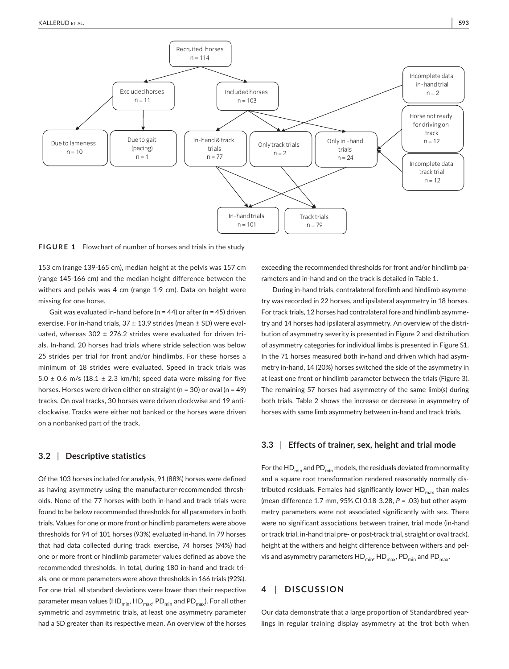

**FIGURE 1** Flowchart of number of horses and trials in the study

153 cm (range 139-165 cm), median height at the pelvis was 157 cm (range 145-166 cm) and the median height difference between the withers and pelvis was 4 cm (range 1-9 cm). Data on height were missing for one horse.

Gait was evaluated in-hand before ( $n = 44$ ) or after ( $n = 45$ ) driven exercise. For in-hand trials,  $37 \pm 13.9$  strides (mean  $\pm$  SD) were evaluated, whereas  $302 \pm 276.2$  strides were evaluated for driven trials. In-hand, 20 horses had trials where stride selection was below 25 strides per trial for front and/or hindlimbs. For these horses a minimum of 18 strides were evaluated. Speed in track trials was 5.0  $\pm$  0.6 m/s (18.1  $\pm$  2.3 km/h); speed data were missing for five horses. Horses were driven either on straight (n = 30) or oval (n = 49) tracks. On oval tracks, 30 horses were driven clockwise and 19 anticlockwise. Tracks were either not banked or the horses were driven on a nonbanked part of the track.

## **3.2** | **Descriptive statistics**

Of the 103 horses included for analysis, 91 (88%) horses were defined as having asymmetry using the manufacturer-recommended thresholds. None of the 77 horses with both in-hand and track trials were found to be below recommended thresholds for all parameters in both trials. Values for one or more front or hindlimb parameters were above thresholds for 94 of 101 horses (93%) evaluated in-hand. In 79 horses that had data collected during track exercise, 74 horses (94%) had one or more front or hindlimb parameter values defined as above the recommended thresholds. In total, during 180 in-hand and track trials, one or more parameters were above thresholds in 166 trials (92%). For one trial, all standard deviations were lower than their respective parameter mean values (HD<sub>min</sub>, HD<sub>max</sub>, PD<sub>min</sub> and PD<sub>max</sub>). For all other symmetric and asymmetric trials, at least one asymmetry parameter had a SD greater than its respective mean. An overview of the horses exceeding the recommended thresholds for front and/or hindlimb parameters and in-hand and on the track is detailed in Table 1.

During in-hand trials, contralateral forelimb and hindlimb asymmetry was recorded in 22 horses, and ipsilateral asymmetry in 18 horses. For track trials, 12 horses had contralateral fore and hindlimb asymmetry and 14 horses had ipsilateral asymmetry. An overview of the distribution of asymmetry severity is presented in Figure 2 and distribution of asymmetry categories for individual limbs is presented in Figure S1. In the 71 horses measured both in-hand and driven which had asymmetry in-hand, 14 (20%) horses switched the side of the asymmetry in at least one front or hindlimb parameter between the trials (Figure 3). The remaining 57 horses had asymmetry of the same limb(s) during both trials. Table 2 shows the increase or decrease in asymmetry of horses with same limb asymmetry between in-hand and track trials.

## **3.3** | **Effects of trainer, sex, height and trial mode**

For the  $HD<sub>min</sub>$  and PD<sub>min</sub> models, the residuals deviated from normality and a square root transformation rendered reasonably normally distributed residuals. Females had significantly lower  $HD_{max}$  than males (mean difference 1.7 mm, 95% CI 0.18-3.28, *P* = .03) but other asymmetry parameters were not associated significantly with sex. There were no significant associations between trainer, trial mode (in-hand or track trial, in-hand trial pre- or post-track trial, straight or oval track), height at the withers and height difference between withers and pelvis and asymmetry parameters  $HD_{min}$ ,  $HD_{max}$ ,  $PD_{min}$  and  $PD_{max}$ .

# **4** | **DISCUSSION**

Our data demonstrate that a large proportion of Standardbred yearlings in regular training display asymmetry at the trot both when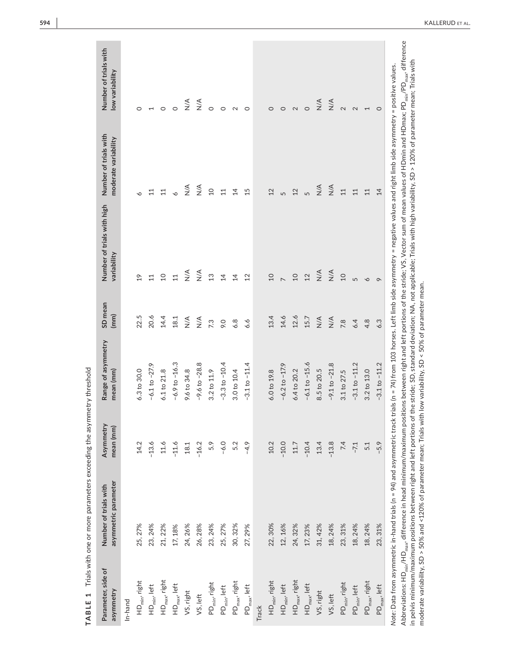| 6.3 to 30.0<br>9.6 to 34.8<br>6.1 to 21.8<br>3.2 to 11.9<br>3.0 to 10.4<br>6.0 to 19.8<br>6.4 to 20.2<br>14.2<br>$-13.6$<br>$11.6$<br>$-6.0$<br>10.2<br>$-10.0$<br>$-11.6$<br>$-16.2$<br>5.2<br>$-4.9$<br>$-10.4$<br>5.9<br>18.1<br>$11.7\,$<br>22, 30%<br>25, 27%<br>25, 27%<br>30, 32%<br>23, 24%<br>21, 22%<br>24, 26%<br>26, 28%<br>12, 16%<br>24, 32%<br>17, 23%<br>31, 42%<br>23, 24%<br>17, 18%<br>27, 29%<br>$HDmax$ , right<br>$HD_{max}$ , right<br>HD <sub>min</sub> , right<br>$HD_{min}$ , right<br>$PD_{\text{max}}$ , right<br>PD <sub>min</sub> , right<br>$HDmax$ , left<br>$HDmax$ , left<br>$HD_{min}$ , left<br>$HD_{min}$ , left<br>$PD_{min}$ , left<br>$PD_{\text{max}}$ , left<br>VS, right<br>VS, right<br>VS, left<br>In-hand<br>Track | $-6.9$ to $-16.3$<br>$-9.6$ to $-28.8$<br>$-3.3$ to $-10.4$<br>$-6.1$ to $-27.9$ | 22.5<br>20.6<br>14.4<br>18.1 | $\frac{1}{2}$   | moderate variability         | low variability              |
|------------------------------------------------------------------------------------------------------------------------------------------------------------------------------------------------------------------------------------------------------------------------------------------------------------------------------------------------------------------------------------------------------------------------------------------------------------------------------------------------------------------------------------------------------------------------------------------------------------------------------------------------------------------------------------------------------------------------------------------------------------------|----------------------------------------------------------------------------------|------------------------------|-----------------|------------------------------|------------------------------|
|                                                                                                                                                                                                                                                                                                                                                                                                                                                                                                                                                                                                                                                                                                                                                                  |                                                                                  |                              |                 |                              |                              |
|                                                                                                                                                                                                                                                                                                                                                                                                                                                                                                                                                                                                                                                                                                                                                                  |                                                                                  |                              |                 |                              | 0                            |
|                                                                                                                                                                                                                                                                                                                                                                                                                                                                                                                                                                                                                                                                                                                                                                  |                                                                                  |                              | 11              | $\Xi$                        |                              |
|                                                                                                                                                                                                                                                                                                                                                                                                                                                                                                                                                                                                                                                                                                                                                                  |                                                                                  |                              | $\overline{a}$  | 11                           | $\circ$                      |
|                                                                                                                                                                                                                                                                                                                                                                                                                                                                                                                                                                                                                                                                                                                                                                  |                                                                                  |                              | 11              |                              |                              |
|                                                                                                                                                                                                                                                                                                                                                                                                                                                                                                                                                                                                                                                                                                                                                                  |                                                                                  | $\frac{4}{2}$                | $\frac{4}{2}$   | $\frac{4}{2}$                | $\stackrel{\triangle}{\geq}$ |
|                                                                                                                                                                                                                                                                                                                                                                                                                                                                                                                                                                                                                                                                                                                                                                  |                                                                                  | $\frac{4}{2}$                | $\frac{4}{2}$   | $\stackrel{\triangle}{\geq}$ | $\sum_{i=1}^{n}$             |
|                                                                                                                                                                                                                                                                                                                                                                                                                                                                                                                                                                                                                                                                                                                                                                  |                                                                                  | 7.3                          | 13              | $\overline{a}$               | $\circ$                      |
|                                                                                                                                                                                                                                                                                                                                                                                                                                                                                                                                                                                                                                                                                                                                                                  |                                                                                  | 9.0                          | $\overline{4}$  | 11                           | $\circ$                      |
|                                                                                                                                                                                                                                                                                                                                                                                                                                                                                                                                                                                                                                                                                                                                                                  |                                                                                  | 6.8                          | $\overline{4}$  | $\overline{4}$               |                              |
|                                                                                                                                                                                                                                                                                                                                                                                                                                                                                                                                                                                                                                                                                                                                                                  | $-3.1$ to $-11.4$                                                                | 6.6                          | 12              | 15                           | $\circ$                      |
|                                                                                                                                                                                                                                                                                                                                                                                                                                                                                                                                                                                                                                                                                                                                                                  |                                                                                  |                              |                 |                              |                              |
|                                                                                                                                                                                                                                                                                                                                                                                                                                                                                                                                                                                                                                                                                                                                                                  |                                                                                  | 13.4                         | $\Omega$        | 12                           | $\circ$                      |
|                                                                                                                                                                                                                                                                                                                                                                                                                                                                                                                                                                                                                                                                                                                                                                  | $-6.2$ to $-17.9$                                                                | 14.6                         |                 | 5                            | $\circ$                      |
|                                                                                                                                                                                                                                                                                                                                                                                                                                                                                                                                                                                                                                                                                                                                                                  |                                                                                  | 12.6                         | $\overline{10}$ | 12                           | $\sim$                       |
|                                                                                                                                                                                                                                                                                                                                                                                                                                                                                                                                                                                                                                                                                                                                                                  | $-6.1$ to $-15.6$                                                                | 15.7                         | 12              | m                            | $\circ$                      |
|                                                                                                                                                                                                                                                                                                                                                                                                                                                                                                                                                                                                                                                                                                                                                                  | 8.5 to 20.5<br>13.4                                                              | N/A                          | $\frac{4}{2}$   | $\frac{4}{2}$                | $\frac{4}{2}$                |
| $-13.8$<br>18, 24%<br>VS, left                                                                                                                                                                                                                                                                                                                                                                                                                                                                                                                                                                                                                                                                                                                                   | $-9.1$ to $-21.8$                                                                | $\frac{4}{2}$                | $\frac{4}{2}$   | $\frac{4}{2}$                | $\stackrel{\triangle}{\geq}$ |
| 3.1 to 27.5<br>7.4<br>23, 31%<br>PD <sub>min</sub> , right                                                                                                                                                                                                                                                                                                                                                                                                                                                                                                                                                                                                                                                                                                       |                                                                                  | 7.8                          | $\Omega$        | 11                           | $\sim$                       |
| $-7.1$<br>18, 24%<br>PD <sub>min</sub> , left                                                                                                                                                                                                                                                                                                                                                                                                                                                                                                                                                                                                                                                                                                                    | $-3.1$ to $-11.2$                                                                | 6.4                          | 5               | 11                           | $\sim$                       |
| 3.2 to 13.0<br>5.1<br>18, 24%<br>PD <sub>max</sub> , right                                                                                                                                                                                                                                                                                                                                                                                                                                                                                                                                                                                                                                                                                                       |                                                                                  | 4.8                          | $\circ$         | 11                           | $\overline{\phantom{0}}$     |
| $-5.9$<br>23, 31%<br>$PD_{max}$ , left                                                                                                                                                                                                                                                                                                                                                                                                                                                                                                                                                                                                                                                                                                                           | $-3.1$ to $-11.2$                                                                | 6.3                          | $\circ$         | $\overline{4}$               | $\circ$                      |

 $\frac{6}{5}$ ż.  $\bar{5}$  $\mathbf{r}$ m pervis minimum/maximum positions between right and lett portions or the stride; 5L), standard deviation; NA, not app<br>moderate variability, SD > 50% and <120% of parameter mean; Trials with low variability, SD < 50% of pa moderate variability, SD > 50% and <120% of parameter mean; Trials with low variability, SD < 50% of parameter mean.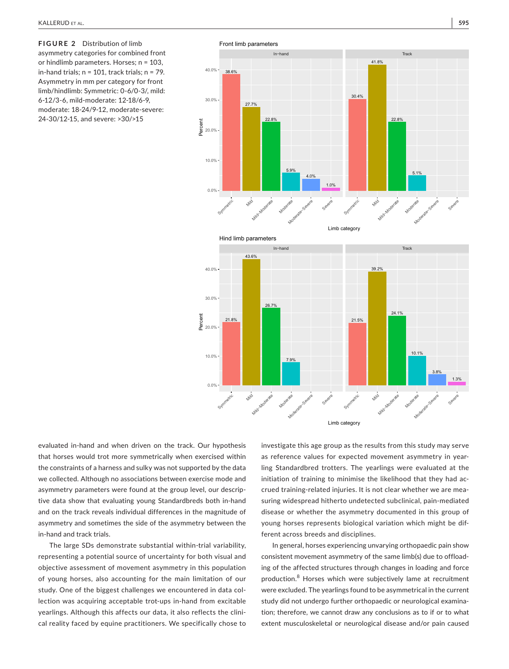**FIGURE 2** Distribution of limb asymmetry categories for combined front or hindlimb parameters. Horses; n = 103, in-hand trials;  $n = 101$ , track trials;  $n = 79$ . Asymmetry in mm per category for front limb/hindlimb: Symmetric: 0-6/0-3/, mild: 6-12/3-6, mild-moderate: 12-18/6-9, moderate: 18-24/9-12, moderate-severe: 24-30/12-15, and severe: >30/>15



evaluated in-hand and when driven on the track. Our hypothesis that horses would trot more symmetrically when exercised within the constraints of a harness and sulky was not supported by the data we collected. Although no associations between exercise mode and asymmetry parameters were found at the group level, our descriptive data show that evaluating young Standardbreds both in-hand and on the track reveals individual differences in the magnitude of asymmetry and sometimes the side of the asymmetry between the in-hand and track trials.

The large SDs demonstrate substantial within-trial variability, representing a potential source of uncertainty for both visual and objective assessment of movement asymmetry in this population of young horses, also accounting for the main limitation of our study. One of the biggest challenges we encountered in data collection was acquiring acceptable trot-ups in-hand from excitable yearlings. Although this affects our data, it also reflects the clinical reality faced by equine practitioners. We specifically chose to

investigate this age group as the results from this study may serve as reference values for expected movement asymmetry in yearling Standardbred trotters. The yearlings were evaluated at the initiation of training to minimise the likelihood that they had accrued training-related injuries. It is not clear whether we are measuring widespread hitherto undetected subclinical, pain-mediated disease or whether the asymmetry documented in this group of young horses represents biological variation which might be different across breeds and disciplines.

In general, horses experiencing unvarying orthopaedic pain show consistent movement asymmetry of the same limb(s) due to offloading of the affected structures through changes in loading and force production.<sup>8</sup> Horses which were subjectively lame at recruitment were excluded. The yearlings found to be asymmetrical in the current study did not undergo further orthopaedic or neurological examination; therefore, we cannot draw any conclusions as to if or to what extent musculoskeletal or neurological disease and/or pain caused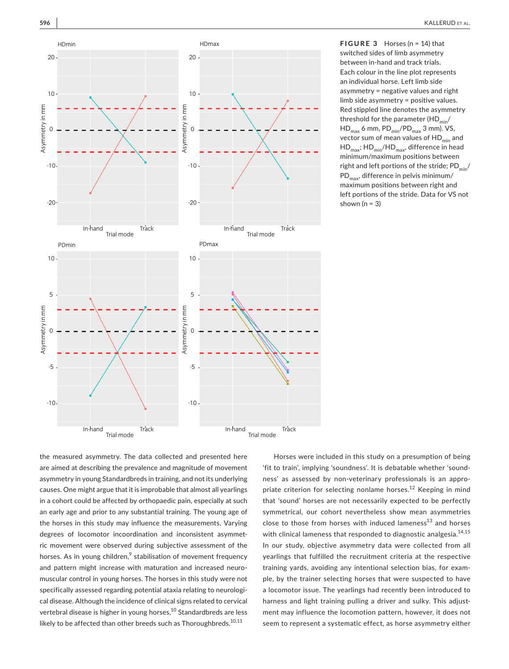

**FIGURE 3** Horses (n = 14) that switched sides of limb asymmetry between in-hand and track trials. Each colour in the line plot represents an individual horse. Left limb side asymmetry = negative values and right limb side asymmetry = positive values. Red stippled line denotes the asymmetry threshold for the parameter  $(HD_{min}/$  $HD_{max}$  6 mm,  $PD_{min}/PD_{max}$  3 mm). VS, vector sum of mean values of  $HD_{min}$  and  $HD_{max}$ ;  $HD_{min}$ /HD<sub>max</sub>, difference in head minimum/maximum positions between right and left portions of the stride;  $PD_{min}/$ PD<sub>max</sub>, difference in pelvis minimum/ maximum positions between right and left portions of the stride. Data for VS not shown  $(n = 3)$ 

the measured asymmetry. The data collected and presented here are aimed at describing the prevalence and magnitude of movement asymmetry in young Standardbreds in training, and not its underlying causes. One might argue that it is improbable that almost all yearlings in a cohort could be affected by orthopaedic pain, especially at such an early age and prior to any substantial training. The young age of the horses in this study may influence the measurements. Varying degrees of locomotor incoordination and inconsistent asymmetric movement were observed during subjective assessment of the horses. As in young children, $^9$  stabilisation of movement frequency and pattern might increase with maturation and increased neuromuscular control in young horses. The horses in this study were not specifically assessed regarding potential ataxia relating to neurological disease. Although the incidence of clinical signs related to cervical vertebral disease is higher in young horses,<sup>10</sup> Standardbreds are less likely to be affected than other breeds such as Thoroughbreds. $10,11$ 

Horses were included in this study on a presumption of being 'fit to train', implying 'soundness'. It is debatable whether 'soundness' as assessed by non-veterinary professionals is an appropriate criterion for selecting nonlame horses.<sup>12</sup> Keeping in mind that 'sound' horses are not necessarily expected to be perfectly symmetrical, our cohort nevertheless show mean asymmetries close to those from horses with induced lameness $^{13}$  and horses with clinical lameness that responded to diagnostic analgesia.<sup>14,15</sup> In our study, objective asymmetry data were collected from all yearlings that fulfilled the recruitment criteria at the respective training yards, avoiding any intentional selection bias, for example, by the trainer selecting horses that were suspected to have a locomotor issue. The yearlings had recently been introduced to harness and light training pulling a driver and sulky. This adjustment may influence the locomotion pattern, however, it does not seem to represent a systematic effect, as horse asymmetry either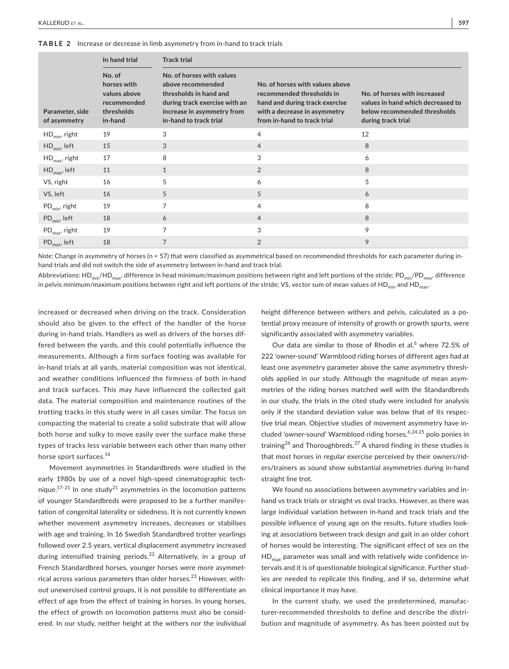**TABLE 2** Increase or decrease in limb asymmetry from in-hand to track trials

|                                 | In hand trial                                                                 | <b>Track trial</b>                                                                                                                                                |                                                                                                                                                               |                                                                                                                         |
|---------------------------------|-------------------------------------------------------------------------------|-------------------------------------------------------------------------------------------------------------------------------------------------------------------|---------------------------------------------------------------------------------------------------------------------------------------------------------------|-------------------------------------------------------------------------------------------------------------------------|
| Parameter, side<br>of asymmetry | No. of<br>horses with<br>values above<br>recommended<br>thresholds<br>in-hand | No. of horses with values<br>above recommended<br>thresholds in hand and<br>during track exercise with an<br>increase in asymmetry from<br>in-hand to track trial | No. of horses with values above<br>recommended thresholds in<br>hand and during track exercise<br>with a decrease in asymmetry<br>from in-hand to track trial | No. of horses with increased<br>values in hand which decreased to<br>below recommended thresholds<br>during track trial |
| $HD_{min}$ , right              | 19                                                                            | 3                                                                                                                                                                 | $\overline{4}$                                                                                                                                                | 12                                                                                                                      |
| $HD_{min}$ , left               | 15                                                                            | 3                                                                                                                                                                 | $\overline{4}$                                                                                                                                                | 8                                                                                                                       |
| $HD_{max}$ , right              | 17                                                                            | 8                                                                                                                                                                 | 3                                                                                                                                                             | 6                                                                                                                       |
| $HD_{\text{max}}$ , left        | 11                                                                            | $\mathbf{1}$                                                                                                                                                      | 2                                                                                                                                                             | 8                                                                                                                       |
| VS, right                       | 16                                                                            | 5                                                                                                                                                                 | 6                                                                                                                                                             | 5                                                                                                                       |
| VS, left                        | 16                                                                            | 5                                                                                                                                                                 | 5                                                                                                                                                             | 6                                                                                                                       |
| $PD_{min}$ , right              | 19                                                                            | $\overline{7}$                                                                                                                                                    | 4                                                                                                                                                             | 8                                                                                                                       |
| $PD_{\min}$ , left              | 18                                                                            | 6                                                                                                                                                                 | $\overline{4}$                                                                                                                                                | 8                                                                                                                       |
| $PD_{\text{max}}$ , right       | 19                                                                            | 7                                                                                                                                                                 | 3                                                                                                                                                             | 9                                                                                                                       |
| $PD_{\text{max}}$ , left        | 18                                                                            | 7                                                                                                                                                                 | $\overline{2}$                                                                                                                                                | 9                                                                                                                       |

*Note:* Change in asymmetry of horses (n = 57) that were classified as asymmetrical based on recommended thresholds for each parameter during inhand trials and did not switch the side of asymmetry between in-hand and track trial.

Abbreviations: HD<sub>min</sub>/HD<sub>max</sub>, difference in head minimum/maximum positions between right and left portions of the stride; PD<sub>min</sub>/PD<sub>max</sub>, difference in pelvis minimum/maximum positions between right and left portions of the stride; VS, vector sum of mean values of HD<sub>min</sub> and HD<sub>max</sub>.

increased or decreased when driving on the track. Consideration should also be given to the effect of the handler of the horse during in-hand trials. Handlers as well as drivers of the horses differed between the yards, and this could potentially influence the measurements. Although a firm surface footing was available for in-hand trials at all yards, material composition was not identical, and weather conditions influenced the firmness of both in-hand and track surfaces. This may have influenced the collected gait data. The material composition and maintenance routines of the trotting tracks in this study were in all cases similar. The focus on compacting the material to create a solid substrate that will allow both horse and sulky to move easily over the surface make these types of tracks less variable between each other than many other horse sport surfaces.<sup>16</sup>

Movement asymmetries in Standardbreds were studied in the early 1980s by use of a novel high-speed cinematographic technique.<sup>17-21</sup> In one study<sup>21</sup> asymmetries in the locomotion patterns of younger Standardbreds were proposed to be a further manifestation of congenital laterality or sidedness. It is not currently known whether movement asymmetry increases, decreases or stabilises with age and training. In 16 Swedish Standardbred trotter yearlings followed over 2.5 years, vertical displacement asymmetry increased during intensified training periods.<sup>22</sup> Alternatively, in a group of French Standardbred horses, younger horses were more asymmetrical across various parameters than older horses.<sup>23</sup> However, without unexercised control groups, it is not possible to differentiate an effect of age from the effect of training in horses. In young horses, the effect of growth on locomotion patterns must also be considered. In our study, neither height at the withers nor the individual

height difference between withers and pelvis, calculated as a potential proxy measure of intensity of growth or growth spurts, were significantly associated with asymmetry variables.

Our data are similar to those of Rhodin et al,<sup>6</sup> where 72.5% of 222 'owner-sound' Warmblood riding horses of different ages had at least one asymmetry parameter above the same asymmetry thresholds applied in our study. Although the magnitude of mean asymmetries of the riding horses matched well with the Standardbreds in our study, the trials in the cited study were included for analysis only if the standard deviation value was below that of its respective trial mean. Objective studies of movement asymmetry have included 'owner-sound' Warmblood riding horses, 6,24,25 polo ponies in training<sup>26</sup> and Thoroughbreds.<sup>27</sup> A shared finding in these studies is that most horses in regular exercise perceived by their owners/riders/trainers as sound show substantial asymmetries during in-hand straight line trot.

We found no associations between asymmetry variables and inhand vs track trials or straight vs oval tracks. However, as there was large individual variation between in-hand and track trials and the possible influence of young age on the results, future studies looking at associations between track design and gait in an older cohort of horses would be interesting. The significant effect of sex on the  $HD_{max}$  parameter was small and with relatively wide confidence intervals and it is of questionable biological significance. Further studies are needed to replicate this finding, and if so, determine what clinical importance it may have.

In the current study, we used the predetermined, manufacturer-recommended thresholds to define and describe the distribution and magnitude of asymmetry. As has been pointed out by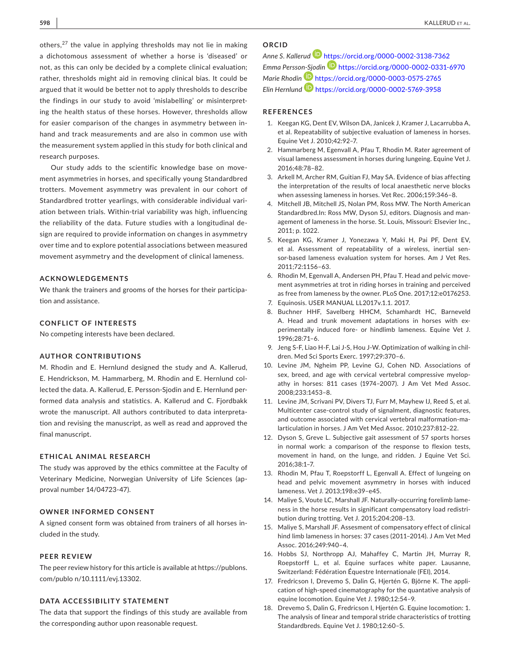others, $27$  the value in applying thresholds may not lie in making a dichotomous assessment of whether a horse is 'diseased' or not, as this can only be decided by a complete clinical evaluation; rather, thresholds might aid in removing clinical bias. It could be argued that it would be better not to apply thresholds to describe the findings in our study to avoid 'mislabelling' or misinterpreting the health status of these horses. However, thresholds allow for easier comparison of the changes in asymmetry between inhand and track measurements and are also in common use with the measurement system applied in this study for both clinical and research purposes.

Our study adds to the scientific knowledge base on movement asymmetries in horses, and specifically young Standardbred trotters. Movement asymmetry was prevalent in our cohort of Standardbred trotter yearlings, with considerable individual variation between trials. Within-trial variability was high, influencing the reliability of the data. Future studies with a longitudinal design are required to provide information on changes in asymmetry over time and to explore potential associations between measured movement asymmetry and the development of clinical lameness.

## **ACKNOWLEDGEMENTS**

We thank the trainers and grooms of the horses for their participation and assistance.

#### **CONFLICT OF INTERESTS**

No competing interests have been declared.

#### **AUTHOR CONTRIBUTIONS**

M. Rhodin and E. Hernlund designed the study and A. Kallerud, E. Hendrickson, M. Hammarberg, M. Rhodin and E. Hernlund collected the data. A. Kallerud, E. Persson-Sjodin and E. Hernlund performed data analysis and statistics. A. Kallerud and C. Fjordbakk wrote the manuscript. All authors contributed to data interpretation and revising the manuscript, as well as read and approved the final manuscript.

## **ETHICAL ANIMAL RESEARCH**

The study was approved by the ethics committee at the Faculty of Veterinary Medicine, Norwegian University of Life Sciences (approval number 14/04723-47).

#### **OWNER INFORMED CONSENT**

A signed consent form was obtained from trainers of all horses included in the study.

#### **PEER REVIEW**

The peer review history for this article is available at [https://publons.](https://publons.com/publo n/10.1111/evj.13302.) [com/publo n/10.1111/evj.13302](https://publons.com/publo n/10.1111/evj.13302.).

### **DATA ACCESSIBILITY STATEMENT**

The data that support the findings of this study are available from the corresponding author upon reasonable request.

# **ORCID**

*Anne S. Kallerud* <https://orcid.org/0000-0002-3138-7362> *Emma Persso[n-Sjo](https://orcid.org/0000-0003-0575-2765)din* <https://orcid.org/0000-0002-0331-6970> *Marie Rhodin* <https://orcid.org/0000-0003-0575-2765> *Elin Hernlund* <https://orcid.org/0000-0002-5769-3958>

## **REFERENCES**

- 1. Keegan KG, Dent EV, Wilson DA, Janicek J, Kramer J, Lacarrubba A, et al. Repeatability of subjective evaluation of lameness in horses. Equine Vet J. 2010;42:92–7.
- 2. Hammarberg M, Egenvall A, Pfau T, Rhodin M. Rater agreement of visual lameness assessment in horses during lungeing. Equine Vet J. 2016;48:78–82.
- 3. Arkell M, Archer RM, Guitian FJ, May SA. Evidence of bias affecting the interpretation of the results of local anaesthetic nerve blocks when assessing lameness in horses. Vet Rec. 2006;159:346–8.
- 4. Mitchell JB, Mitchell JS, Nolan PM, Ross MW. The North American Standardbred.In: Ross MW, Dyson SJ, editors. Diagnosis and management of lameness in the horse. St. Louis, Missouri: Elsevier Inc., 2011; p. 1022.
- 5. Keegan KG, Kramer J, Yonezawa Y, Maki H, Pai PF, Dent EV, et al. Assessment of repeatability of a wireless, inertial sensor-based lameness evaluation system for horses. Am J Vet Res. 2011;72:1156–63.
- 6. Rhodin M, Egenvall A, Andersen PH, Pfau T. Head and pelvic movement asymmetries at trot in riding horses in training and perceived as free from lameness by the owner. PLoS One. 2017;12:e0176253.
- 7. Equinosis. USER MANUAL LL2017v.1.1. 2017.
- 8. Buchner HHF, Savelberg HHCM, Schamhardt HC, Barneveld A. Head and trunk movement adaptations in horses with experimentally induced fore- or hindlimb lameness. Equine Vet J. 1996;28:71–6.
- 9. Jeng S-F, Liao H-F, Lai J-S, Hou J-W. Optimization of walking in children. Med Sci Sports Exerc. 1997;29:370–6.
- 10. Levine JM, Ngheim PP, Levine GJ, Cohen ND. Associations of sex, breed, and age with cervical vertebral compressive myelopathy in horses: 811 cases (1974–2007). J Am Vet Med Assoc. 2008;233:1453–8.
- 11. Levine JM, Scrivani PV, Divers TJ, Furr M, Mayhew IJ, Reed S, et al. Multicenter case-control study of signalment, diagnostic features, and outcome associated with cervical vertebral malformation-malarticulation in horses. J Am Vet Med Assoc. 2010;237:812–22.
- 12. Dyson S, Greve L. Subjective gait assessment of 57 sports horses in normal work: a comparison of the response to flexion tests, movement in hand, on the lunge, and ridden. J Equine Vet Sci. 2016;38:1–7.
- 13. Rhodin M, Pfau T, Roepstorff L, Egenvall A. Effect of lungeing on head and pelvic movement asymmetry in horses with induced lameness. Vet J. 2013;198:e39–e45.
- 14. Maliye S, Voute LC, Marshall JF. Naturally-occurring forelimb lameness in the horse results in significant compensatory load redistribution during trotting. Vet J. 2015;204:208–13.
- 15. Maliye S, Marshall JF. Assesment of compensatory effect of clinical hind limb lameness in horses: 37 cases (2011–2014). J Am Vet Med Assoc. 2016;249:940–4.
- 16. Hobbs SJ, Northropp AJ, Mahaffey C, Martin JH, Murray R, Roepstorff L, et al. Equine surfaces white paper. Lausanne, Switzerland: Fédération Équestre Internationale (FEI), 2014.
- 17. Fredricson I, Drevemo S, Dalin G, Hjertén G, Björne K. The application of high-speed cinematography for the quantative analysis of equine locomotion. Equine Vet J. 1980;12:54–9.
- 18. Drevemo S, Dalin G, Fredricson I, Hjertén G. Equine locomotion: 1. The analysis of linear and temporal stride characteristics of trotting Standardbreds. Equine Vet J. 1980;12:60–5.